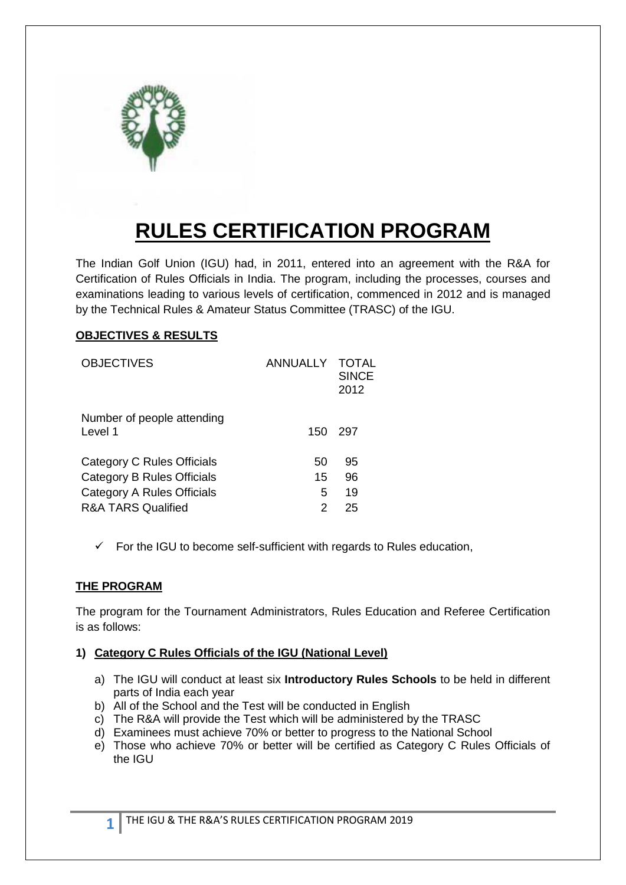

# **RULES CERTIFICATION PROGRAM**

The Indian Golf Union (IGU) had, in 2011, entered into an agreement with the R&A for Certification of Rules Officials in India. The program, including the processes, courses and examinations leading to various levels of certification, commenced in 2012 and is managed by the Technical Rules & Amateur Status Committee (TRASC) of the IGU.

## **OBJECTIVES & RESULTS**

| <b>OBJECTIVES</b>                     | <b>ANNUALLY</b> | <b>TOTAL</b><br><b>SINCE</b><br>2012 |
|---------------------------------------|-----------------|--------------------------------------|
| Number of people attending<br>Level 1 | 150             | 297                                  |
| Category C Rules Officials            | 50              | 95                                   |
| <b>Category B Rules Officials</b>     | 15              | 96                                   |
| Category A Rules Officials            | 5               | 19                                   |
| <b>R&amp;A TARS Qualified</b>         | 2               | 25                                   |

 $\checkmark$  For the IGU to become self-sufficient with regards to Rules education,

## **THE PROGRAM**

The program for the Tournament Administrators, Rules Education and Referee Certification is as follows:

#### **1) Category C Rules Officials of the IGU (National Level)**

- a) The IGU will conduct at least six **Introductory Rules Schools** to be held in different parts of India each year
- b) All of the School and the Test will be conducted in English
- c) The R&A will provide the Test which will be administered by the TRASC
- d) Examinees must achieve 70% or better to progress to the National School
- e) Those who achieve 70% or better will be certified as Category C Rules Officials of the IGU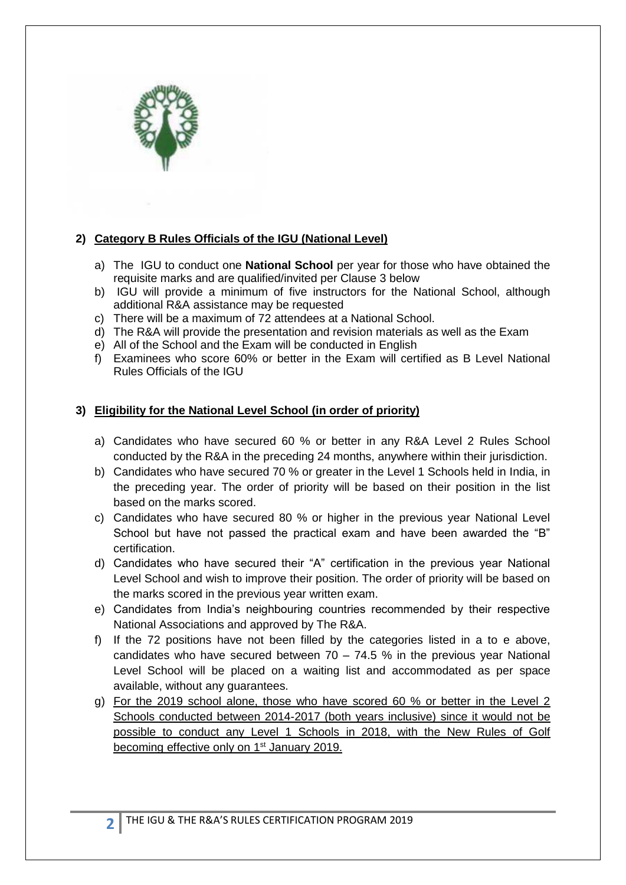

# **2) Category B Rules Officials of the IGU (National Level)**

- a) The IGU to conduct one **National School** per year for those who have obtained the requisite marks and are qualified/invited per Clause 3 below
- b) IGU will provide a minimum of five instructors for the National School, although additional R&A assistance may be requested
- c) There will be a maximum of 72 attendees at a National School.
- d) The R&A will provide the presentation and revision materials as well as the Exam
- e) All of the School and the Exam will be conducted in English
- f) Examinees who score 60% or better in the Exam will certified as B Level National Rules Officials of the IGU

# **3) Eligibility for the National Level School (in order of priority)**

- a) Candidates who have secured 60 % or better in any R&A Level 2 Rules School conducted by the R&A in the preceding 24 months, anywhere within their jurisdiction.
- b) Candidates who have secured 70 % or greater in the Level 1 Schools held in India, in the preceding year. The order of priority will be based on their position in the list based on the marks scored.
- c) Candidates who have secured 80 % or higher in the previous year National Level School but have not passed the practical exam and have been awarded the "B" certification.
- d) Candidates who have secured their "A" certification in the previous year National Level School and wish to improve their position. The order of priority will be based on the marks scored in the previous year written exam.
- e) Candidates from India's neighbouring countries recommended by their respective National Associations and approved by The R&A.
- f) If the 72 positions have not been filled by the categories listed in a to e above, candidates who have secured between  $70 - 74.5$  % in the previous year National Level School will be placed on a waiting list and accommodated as per space available, without any guarantees.
- g) For the 2019 school alone, those who have scored 60 % or better in the Level 2 Schools conducted between 2014-2017 (both years inclusive) since it would not be possible to conduct any Level 1 Schools in 2018, with the New Rules of Golf becoming effective only on 1<sup>st</sup> January 2019.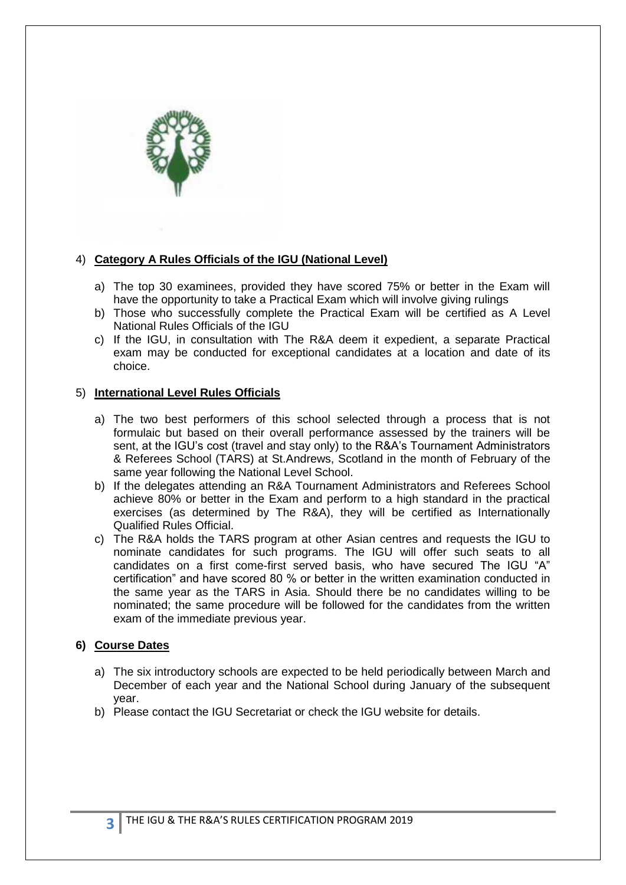

#### 4) **Category A Rules Officials of the IGU (National Level)**

- a) The top 30 examinees, provided they have scored 75% or better in the Exam will have the opportunity to take a Practical Exam which will involve giving rulings
- b) Those who successfully complete the Practical Exam will be certified as A Level National Rules Officials of the IGU
- c) If the IGU, in consultation with The R&A deem it expedient, a separate Practical exam may be conducted for exceptional candidates at a location and date of its choice.

#### 5) **International Level Rules Officials**

- a) The two best performers of this school selected through a process that is not formulaic but based on their overall performance assessed by the trainers will be sent, at the IGU's cost (travel and stay only) to the R&A's Tournament Administrators & Referees School (TARS) at St.Andrews, Scotland in the month of February of the same year following the National Level School.
- b) If the delegates attending an R&A Tournament Administrators and Referees School achieve 80% or better in the Exam and perform to a high standard in the practical exercises (as determined by The R&A), they will be certified as Internationally Qualified Rules Official.
- c) The R&A holds the TARS program at other Asian centres and requests the IGU to nominate candidates for such programs. The IGU will offer such seats to all candidates on a first come-first served basis, who have secured The IGU "A" certification" and have scored 80 % or better in the written examination conducted in the same year as the TARS in Asia. Should there be no candidates willing to be nominated; the same procedure will be followed for the candidates from the written exam of the immediate previous year.

#### **6) Course Dates**

- a) The six introductory schools are expected to be held periodically between March and December of each year and the National School during January of the subsequent year.
- b) Please contact the IGU Secretariat or check the IGU website for details.